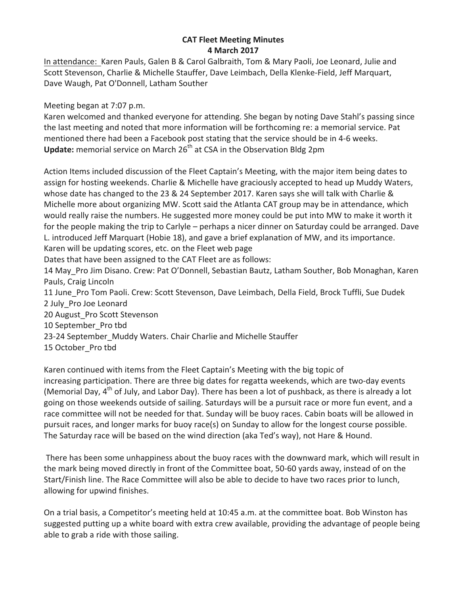## **CAT Fleet Meeting Minutes 4 March 2017**

In attendance: Karen Pauls, Galen B & Carol Galbraith, Tom & Mary Paoli, Joe Leonard, Julie and Scott Stevenson, Charlie & Michelle Stauffer, Dave Leimbach, Della Klenke-Field, Jeff Marquart, Dave Waugh, Pat O'Donnell, Latham Souther

Meeting began at 7:07 p.m.

Karen welcomed and thanked everyone for attending. She began by noting Dave Stahl's passing since the last meeting and noted that more information will be forthcoming re: a memorial service. Pat mentioned there had been a Facebook post stating that the service should be in 4-6 weeks. **Update:** memorial service on March 26<sup>th</sup> at CSA in the Observation Bldg 2pm

Action Items included discussion of the Fleet Captain's Meeting, with the major item being dates to assign for hosting weekends. Charlie & Michelle have graciously accepted to head up Muddy Waters, whose date has changed to the 23 & 24 September 2017. Karen says she will talk with Charlie & Michelle more about organizing MW. Scott said the Atlanta CAT group may be in attendance, which would really raise the numbers. He suggested more money could be put into MW to make it worth it for the people making the trip to Carlyle – perhaps a nicer dinner on Saturday could be arranged. Dave L. introduced Jeff Marquart (Hobie 18), and gave a brief explanation of MW, and its importance. Karen will be updating scores, etc. on the Fleet web page

Dates that have been assigned to the CAT Fleet are as follows:

14 May Pro Jim Disano. Crew: Pat O'Donnell, Sebastian Bautz, Latham Souther, Bob Monaghan, Karen Pauls, Craig Lincoln

11 June Pro Tom Paoli. Crew: Scott Stevenson, Dave Leimbach, Della Field, Brock Tuffli, Sue Dudek 2 July Pro Joe Leonard

20 August Pro Scott Stevenson

- 10 September Pro tbd
- 23-24 September Muddy Waters. Chair Charlie and Michelle Stauffer
- 15 October Pro tbd

Karen continued with items from the Fleet Captain's Meeting with the big topic of increasing participation. There are three big dates for regatta weekends, which are two-day events (Memorial Day,  $4<sup>th</sup>$  of July, and Labor Day). There has been a lot of pushback, as there is already a lot going on those weekends outside of sailing. Saturdays will be a pursuit race or more fun event, and a race committee will not be needed for that. Sunday will be buoy races. Cabin boats will be allowed in pursuit races, and longer marks for buoy race(s) on Sunday to allow for the longest course possible. The Saturday race will be based on the wind direction (aka Ted's way), not Hare & Hound.

There has been some unhappiness about the buoy races with the downward mark, which will result in the mark being moved directly in front of the Committee boat, 50-60 yards away, instead of on the Start/Finish line. The Race Committee will also be able to decide to have two races prior to lunch, allowing for upwind finishes.

On a trial basis, a Competitor's meeting held at 10:45 a.m. at the committee boat. Bob Winston has suggested putting up a white board with extra crew available, providing the advantage of people being able to grab a ride with those sailing.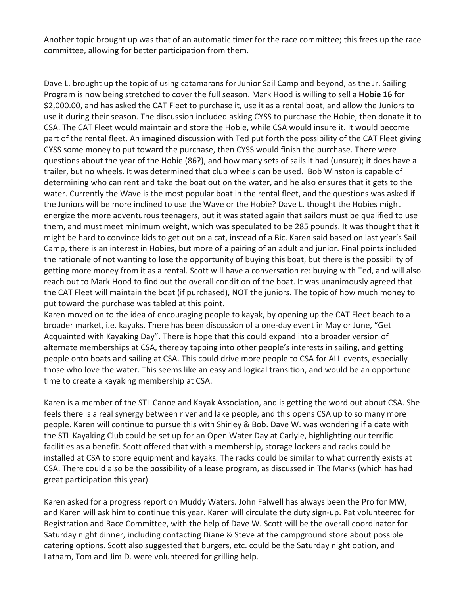Another topic brought up was that of an automatic timer for the race committee; this frees up the race committee, allowing for better participation from them.

Dave L. brought up the topic of using catamarans for Junior Sail Camp and beyond, as the Jr. Sailing Program is now being stretched to cover the full season. Mark Hood is willing to sell a Hobie 16 for \$2,000.00, and has asked the CAT Fleet to purchase it, use it as a rental boat, and allow the Juniors to use it during their season. The discussion included asking CYSS to purchase the Hobie, then donate it to CSA. The CAT Fleet would maintain and store the Hobie, while CSA would insure it. It would become part of the rental fleet. An imagined discussion with Ted put forth the possibility of the CAT Fleet giving CYSS some money to put toward the purchase, then CYSS would finish the purchase. There were questions about the year of the Hobie (86?), and how many sets of sails it had (unsure); it does have a trailer, but no wheels. It was determined that club wheels can be used. Bob Winston is capable of determining who can rent and take the boat out on the water, and he also ensures that it gets to the water. Currently the Wave is the most popular boat in the rental fleet, and the questions was asked if the Juniors will be more inclined to use the Wave or the Hobie? Dave L. thought the Hobies might energize the more adventurous teenagers, but it was stated again that sailors must be qualified to use them, and must meet minimum weight, which was speculated to be 285 pounds. It was thought that it might be hard to convince kids to get out on a cat, instead of a Bic. Karen said based on last year's Sail Camp, there is an interest in Hobies, but more of a pairing of an adult and junior. Final points included the rationale of not wanting to lose the opportunity of buying this boat, but there is the possibility of getting more money from it as a rental. Scott will have a conversation re: buying with Ted, and will also reach out to Mark Hood to find out the overall condition of the boat. It was unanimously agreed that the CAT Fleet will maintain the boat (if purchased), NOT the juniors. The topic of how much money to put toward the purchase was tabled at this point.

Karen moved on to the idea of encouraging people to kayak, by opening up the CAT Fleet beach to a broader market, i.e. kayaks. There has been discussion of a one-day event in May or June, "Get Acquainted with Kayaking Day". There is hope that this could expand into a broader version of alternate memberships at CSA, thereby tapping into other people's interests in sailing, and getting people onto boats and sailing at CSA. This could drive more people to CSA for ALL events, especially those who love the water. This seems like an easy and logical transition, and would be an opportune time to create a kayaking membership at CSA.

Karen is a member of the STL Canoe and Kayak Association, and is getting the word out about CSA. She feels there is a real synergy between river and lake people, and this opens CSA up to so many more people. Karen will continue to pursue this with Shirley & Bob. Dave W. was wondering if a date with the STL Kayaking Club could be set up for an Open Water Day at Carlyle, highlighting our terrific facilities as a benefit. Scott offered that with a membership, storage lockers and racks could be installed at CSA to store equipment and kayaks. The racks could be similar to what currently exists at CSA. There could also be the possibility of a lease program, as discussed in The Marks (which has had great participation this year).

Karen asked for a progress report on Muddy Waters. John Falwell has always been the Pro for MW, and Karen will ask him to continue this year. Karen will circulate the duty sign-up. Pat volunteered for Registration and Race Committee, with the help of Dave W. Scott will be the overall coordinator for Saturday night dinner, including contacting Diane & Steve at the campground store about possible catering options. Scott also suggested that burgers, etc. could be the Saturday night option, and Latham, Tom and Jim D. were volunteered for grilling help.